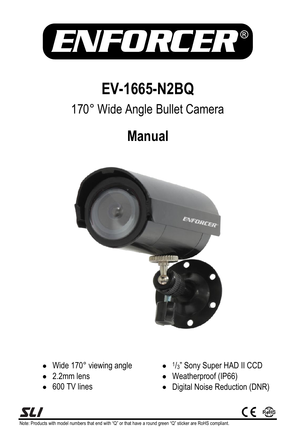

# **EV-1665-N2BQ**

## 170° Wide Angle Bullet Camera

## **Manual**



- Wide 170° viewing angle
- 2.2mm lens
- 600 TV lines
- 1 /3" Sony Super HAD II CCD
- Weatherproof (IP66)
- Digital Noise Reduction (DNR)





roducts with model numbers that end with "Q" or that have a round green "Q" sticker are RoHS compliant.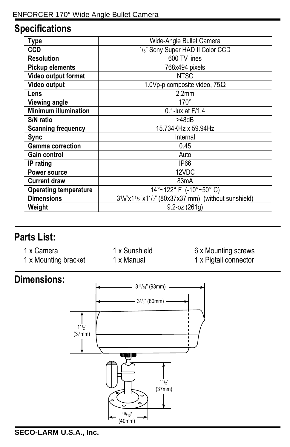## **Specifications**

| Type                         | Wide-Angle Bullet Camera                                                            |
|------------------------------|-------------------------------------------------------------------------------------|
| CCD                          | 1/3" Sony Super HAD II Color CCD                                                    |
| <b>Resolution</b>            | 600 TV lines                                                                        |
| <b>Pickup elements</b>       | 768x494 pixels                                                                      |
| Video output format          | <b>NTSC</b>                                                                         |
| Video output                 | 1.0Vp-p composite video, $75\Omega$                                                 |
| Lens                         | 2.2 <sub>mm</sub>                                                                   |
| <b>Viewing angle</b>         | $170^\circ$                                                                         |
| <b>Minimum illumination</b>  | 0.1-lux at F/1.4                                                                    |
| S/N ratio                    | >48dB                                                                               |
| <b>Scanning frequency</b>    | 15.734KHz x 59.94Hz                                                                 |
| Sync                         | Internal                                                                            |
| <b>Gamma correction</b>      | 0.45                                                                                |
| Gain control                 | Auto                                                                                |
| IP rating                    | IP <sub>66</sub>                                                                    |
| Power source                 | 12VDC                                                                               |
| <b>Current draw</b>          | 83mA                                                                                |
| <b>Operating temperature</b> | 14°~122° F (-10°~50° C)                                                             |
| <b>Dimensions</b>            | $3^{1/8}$ "x1 <sup>1</sup> /2"x1 <sup>1</sup> /2" (80x37x37 mm) (without sunshield) |
| Weight                       | $9.2 - oz (261g)$                                                                   |

### **Parts List:**

- 1 x Camera
- 1 x Mounting bracket

1 x Sunshield 1 x Manual

6 x Mounting screws 1 x Pigtail connector

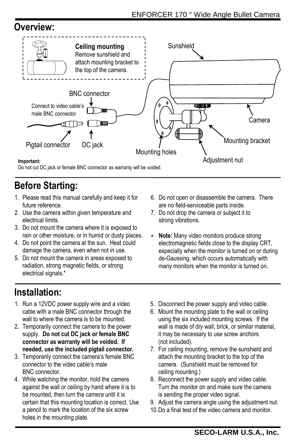### **Overview:**



## **Before Starting:**

- 1. Please read this manual carefully and keep it for future reference.
- 2. Use the camera within given temperature and electrical limits.
- 3. Do not mount the camera where it is exposed to rain or other moisture, or in humid or dusty places.
- 4. Do not point the camera at the sun. Heat could damage the camera, even when not in use.
- 5. Do not mount the camera in areas exposed to radiation, strong magnetic fields, or strong electrical signals.\*
- 6. Do not open or disassemble the camera. There are no field-serviceable parts inside.
- 7. Do not drop the camera or subject it to strong vibrations.
- **Note:** Many video monitors produce strong electromagnetic fields close to the display CRT, especially when the monitor is turned on or during de-Gaussing, which occurs automatically with many monitors when the monitor is turned on.

### **Installation:**

- 1. Run a 12VDC power supply wire and a video cable with a male BNC connector through the wall to where the camera is to be mounted.
- 2. Temporarily connect the camera to the power supply. **Do not cut DC jack or female BNC connector as warranty will be voided. If needed, use the included pigtail connector.**
- 3. Temporarily connect the camera's female BNC connector to the video cable's male BNC connector.
- 4. While watching the monitor, hold the camera against the wall or ceiling by hand where it is to be mounted, then turn the camera until it is certain that this mounting location is correct. Use a pencil to mark the location of the six screw holes in the mounting plate.
- 5. Disconnect the power supply and video cable.
- 6. Mount the mounting plate to the wall or ceiling using the six included mounting screws. If the wall is made of dry wall, brick, or similar material, it may be necessary to use screw anchors (not included).
- 7. For ceiling mounting, remove the sunshield and attach the mounting bracket to the top of the camera. (Sunshield must be removed for ceiling mounting.)
- 8. Reconnect the power supply and video cable. Turn the monitor on and make sure the camera is sending the proper video signal.
- 9. Adjust the camera angle using the adjustment nut.
- 10.Do a final test of the video camera and monitor.